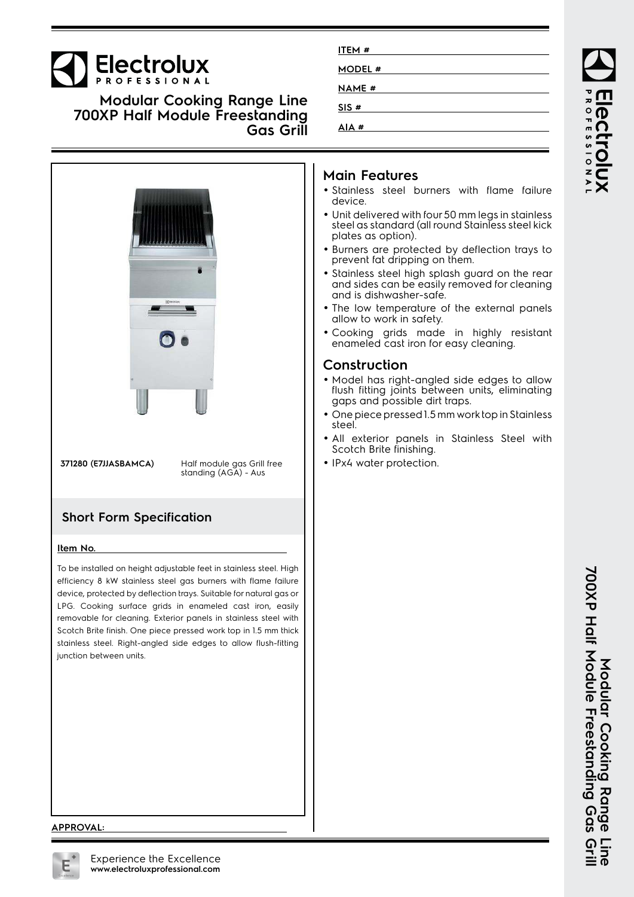# **Electrolux**

**Modular Cooking Range Line 700XP Half Module Freestanding Gas Grill**



**371280 (E7JJASBAMCA)** Half module gas Grill free standing (AGA) - Aus

## **Short Form Specification**

#### **Item No.**

To be installed on height adjustable feet in stainless steel. High efficiency 8 kW stainless steel gas burners with flame failure device, protected by deflection trays. Suitable for natural gas or LPG. Cooking surface grids in enameled cast iron, easily removable for cleaning. Exterior panels in stainless steel with Scotch Brite finish. One piece pressed work top in 1.5 mm thick stainless steel. Right-angled side edges to allow flush-fitting junction between units.

## **Main Features**

**ITEM # MODEL # NAME # SIS # AIA #**

- Stainless steel burners with flame failure device.
- Unit delivered with four 50 mm legs in stainless steel as standard (all round Stainless steel kick plates as option).
- Burners are protected by deflection trays to prevent fat dripping on them.
- Stainless steel high splash guard on the rear and sides can be easily removed for cleaning and is dishwasher-safe.
- The low temperature of the external panels allow to work in safety.
- Cooking grids made in highly resistant enameled cast iron for easy cleaning.

### **Construction**

- Model has right-angled side edges to allow flush fitting joints between units, eliminating gaps and possible dirt traps.
- • One piece pressed 1.5 mm work top in Stainless steel.
- • All exterior panels in Stainless Steel with Scotch Brite finishing.
- IPx4 water protection.

#### **APPROVAL:**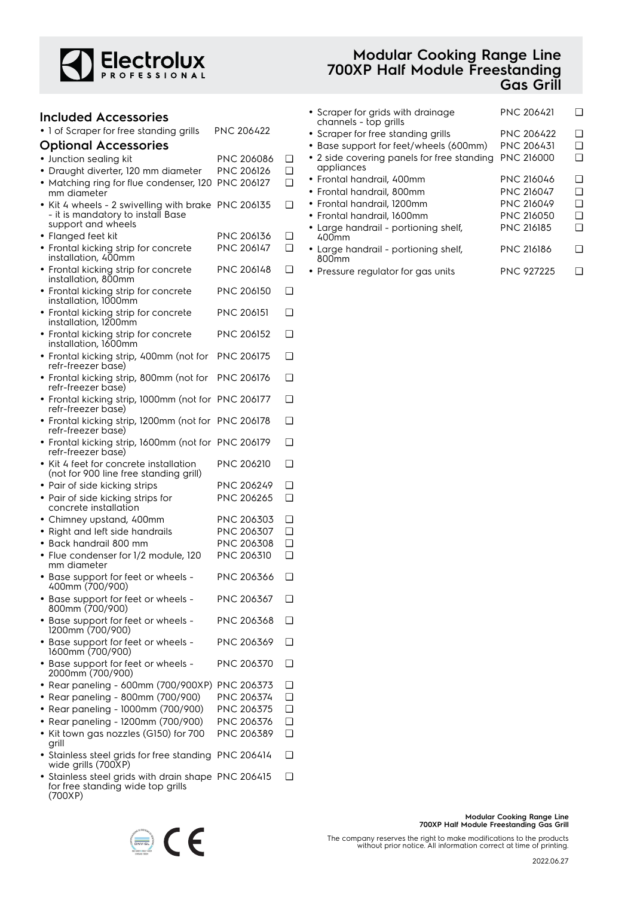

| <b>Included Accessories</b>                                                      |                   |        |
|----------------------------------------------------------------------------------|-------------------|--------|
| · 1 of Scraper for free standing grills                                          | <b>PNC 206422</b> |        |
| <b>Optional Accessories</b>                                                      |                   |        |
| • Junction sealing kit                                                           | PNC 206086        | ❏      |
| • Draught diverter, 120 mm diameter                                              | <b>PNC 206126</b> | ❏      |
| • Matching ring for flue condenser, 120<br>mm diameter                           | PNC 206127        | ∩      |
| Kit 4 wheels - 2 swivelling with brake<br>- it is mandatory to install Base      | <b>PNC 206135</b> | ❏      |
| support and wheels<br>• Flanged feet kit                                         | PNC 206136        | ❏      |
| • Frontal kicking strip for concrete                                             | <b>PNC 206147</b> | ∩      |
| installation, 400mm                                                              |                   |        |
| • Frontal kicking strip for concrete<br>installation, 800mm                      | PNC 206148        | ∩      |
| • Frontal kicking strip for concrete<br>installation, 1000mm                     | PNC 206150        | ❏      |
| • Frontal kicking strip for concrete<br>installation, 1200mm                     | <b>PNC 206151</b> | ❏      |
| • Frontal kicking strip for concrete<br>installation, 1600mm                     | <b>PNC 206152</b> | ∩      |
| • Frontal kicking strip, 400mm (not for<br>refr-freezer base)                    | <b>PNC 206175</b> | ❏      |
| • Frontal kicking strip, 800mm (not for<br>refr-freezer base)                    | <b>PNC 206176</b> | ❏      |
| • Frontal kicking strip, 1000mm (not for PNC 206177<br>refr-freezer base)        |                   | ❏      |
| • Frontal kicking strip, 1200mm (not for<br>refr-freezer base)                   | PNC 206178        | □      |
| • Frontal kicking strip, 1600mm (not for PNC 206179<br>refr-freezer base)        |                   | ❏      |
| • Kit 4 feet for concrete installation<br>(not for 900 line free standing grill) | <b>PNC 206210</b> | ❏      |
| • Pair of side kicking strips                                                    | PNC 206249        | ❏      |
| • Pair of side kicking strips for                                                | PNC 206265        | ∩      |
| concrete installation                                                            |                   |        |
| • Chimney upstand, 400mm                                                         | PNC 206303        | ❏      |
| • Right and left side handrails                                                  | PNC 206307        | ∩      |
| • Back handrail 800 mm                                                           | PNC 206308        | ❏      |
| • Flue condenser for 1/2 module, 120<br>mm diameter                              | PNC 206310        | ❏      |
| • Base support for feet or wheels -<br>400mm (700/900)                           | PNC 206366        | ❏      |
| • Base support for feet or wheels -<br>800mm (700/900)                           | PNC 206367        | ❏      |
| • Base support for feet or wheels -<br>1200mm (700/900)                          | PNC 206368        | ❏      |
| • Base support for feet or wheels -<br>1600mm (700/900)                          | PNC 206369        | ❏      |
| • Base support for feet or wheels -<br>2000mm (700/900)                          | PNC 206370        | ❏      |
| • Rear paneling - 600mm (700/900XP)                                              | PNC 206373        | ❏      |
| Rear paneling - 800mm (700/900)<br>$\bullet$                                     | PNC 206374        | ❏      |
| Rear paneling - 1000mm (700/900)<br>٠                                            | PNC 206375        | ❏      |
| Rear paneling - 1200mm (700/900)                                                 | PNC 206376        | ❏      |
| Kit town gas nozzles (G150) for 700<br>grill                                     | PNC 206389        | ∩      |
| • Stainless steel grids for free standing<br>wide grills (700XP)                 | PNC 206414        | $\Box$ |
| • Stainless steel grids with drain shape PNC 206415                              |                   | ❏      |

for free standing wide top grills

CE

(700XP)

## **Modular Cooking Range Line 700XP Half Module Freestanding Gas Grill**

| • Scraper for grids with drainage<br>channels - top grills | <b>PNC 206421</b> |     |
|------------------------------------------------------------|-------------------|-----|
| • Scraper for free standing grills                         | <b>PNC 206422</b> | □   |
| • Base support for feet/wheels (600mm)                     | <b>PNC 206431</b> | ∣ 1 |
| • 2 side covering panels for free standing<br>appliances   | <b>PNC 216000</b> | □   |
| • Frontal handrail, 400mm                                  | <b>PNC 216046</b> | ∣ 1 |
| • Frontal handrail, 800mm                                  | <b>PNC 216047</b> | l 1 |
| • Frontal handrail, 1200mm                                 | <b>PNC 216049</b> | □   |
| • Frontal handrail, 1600mm                                 | <b>PNC 216050</b> | □   |
| • Large handrail - portioning shelf,<br>400mm              | <b>PNC 216185</b> | H   |
| • Large handrail - portioning shelf,<br>800mm              | <b>PNC 216186</b> |     |
| Drocours rogulator for gas units                           | DNIC OSTOSE       |     |

• Pressure regulator for gas units PNC 927225 ❑

| Modular Cooking Range Line               |
|------------------------------------------|
| 700XP Half Module Freestanding Gas Grill |
|                                          |